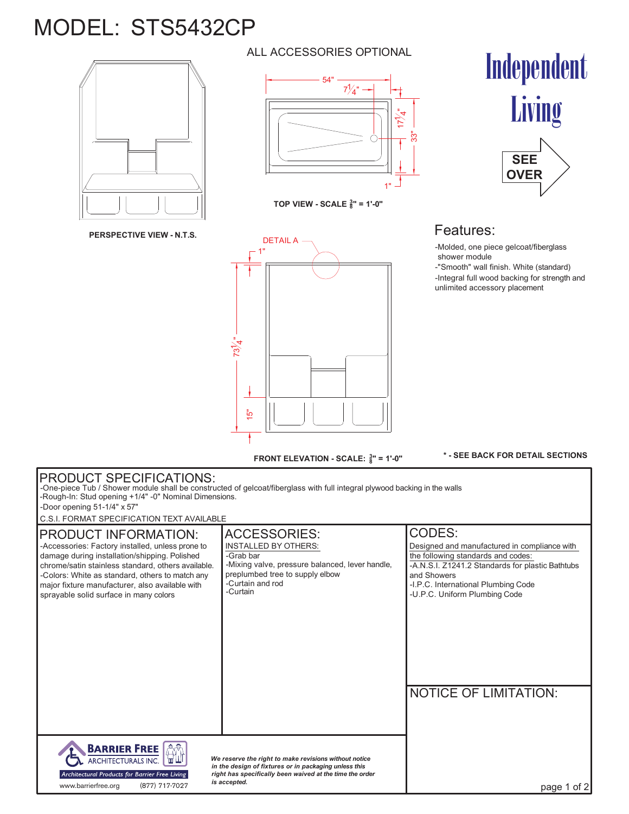## MODEL: STS5432CP



**PERSPECTIVE VIEW - N.T.S.**

## ALL ACCESSORIES OPTIONAL



**TOP VIEW - SCALE <sup>3</sup> 8" = 1'-0"**



-Molded, one piece gelcoat/fiberglass shower module

-Integral full wood backing for strength and unlimited accessory placement -"Smooth" wall finish. White (standard)

Independent



**FRONT ELEVATION - SCALE: <sup>3</sup> 8" = 1'-0"**

**\* - SEE BACK FOR DETAIL SECTIONS**

## PRODUCT SPECIFICATIONS: -One-piece Tub / Shower module shall be constructed of gelcoat/fiberglass with full integral plywood backing in the walls -Rough-In: Stud opening +1/4" -0" Nominal Dimensions. -Door opening 51-1/4" x 57" C.S.I. FORMAT SPECIFICATION TEXT AVAILABLE ACCESSORIES: CODES: PRODUCT INFORMATION: -Accessories: Factory installed, unless prone to INSTALLED BY OTHERS: Designed and manufactured in compliance with damage during installation/shipping. Polished -Grab bar the following standards and codes:<br>-A.N.S.I. Z1241.2 Standards for plastic Bathtubs -Mixing valve, pressure balanced, lever handle, chrome/satin stainless standard, others available. -Colors: White as standard, others to match any preplumbed tree to supply elbow and Showers major fixture manufacturer, also available with -Curtain and rod -I.P.C. International Plumbing Code -Curtain sprayable solid surface in many colors -U.P.C. Uniform Plumbing Code NOTICE OF LIMITATION: **AN BARRIER FREE** ARCHITECTURALS INC. *We reserve the right to make revisions without notice in the design of fixtures or in packaging unless this right has specifically been waived at the time the order* Architectural Products for Barrier Free Living www.barrierfree.org (877) 717-7027 *is accepted.* page 1 of 2